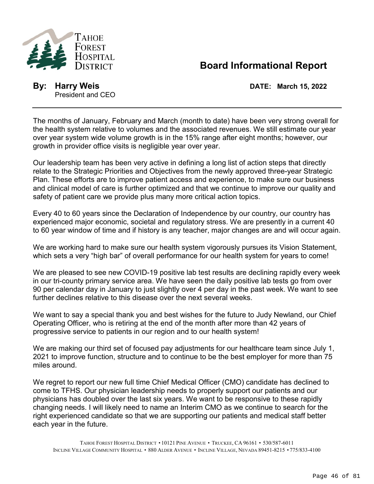

## **Board Informational Report**

**By: Harry Weis DATE: March 15, 2022** President and CEO

The months of January, February and March (month to date) have been very strong overall for the health system relative to volumes and the associated revenues. We still estimate our year over year system wide volume growth is in the 15% range after eight months; however, our growth in provider office visits is negligible year over year.

Our leadership team has been very active in defining a long list of action steps that directly relate to the Strategic Priorities and Objectives from the newly approved three-year Strategic Plan. These efforts are to improve patient access and experience, to make sure our business and clinical model of care is further optimized and that we continue to improve our quality and safety of patient care we provide plus many more critical action topics.

Every 40 to 60 years since the Declaration of Independence by our country, our country has experienced major economic, societal and regulatory stress. We are presently in a current 40 to 60 year window of time and if history is any teacher, major changes are and will occur again.

We are working hard to make sure our health system vigorously pursues its Vision Statement, which sets a very "high bar" of overall performance for our health system for years to come!

We are pleased to see new COVID-19 positive lab test results are declining rapidly every week in our tri-county primary service area. We have seen the daily positive lab tests go from over 90 per calendar day in January to just slightly over 4 per day in the past week. We want to see further declines relative to this disease over the next several weeks.

We want to say a special thank you and best wishes for the future to Judy Newland, our Chief Operating Officer, who is retiring at the end of the month after more than 42 years of progressive service to patients in our region and to our health system!

We are making our third set of focused pay adjustments for our healthcare team since July 1, 2021 to improve function, structure and to continue to be the best employer for more than 75 miles around.

We regret to report our new full time Chief Medical Officer (CMO) candidate has declined to come to TFHS. Our physician leadership needs to properly support our patients and our physicians has doubled over the last six years. We want to be responsive to these rapidly changing needs. I will likely need to name an Interim CMO as we continue to search for the right experienced candidate so that we are supporting our patients and medical staff better each year in the future.